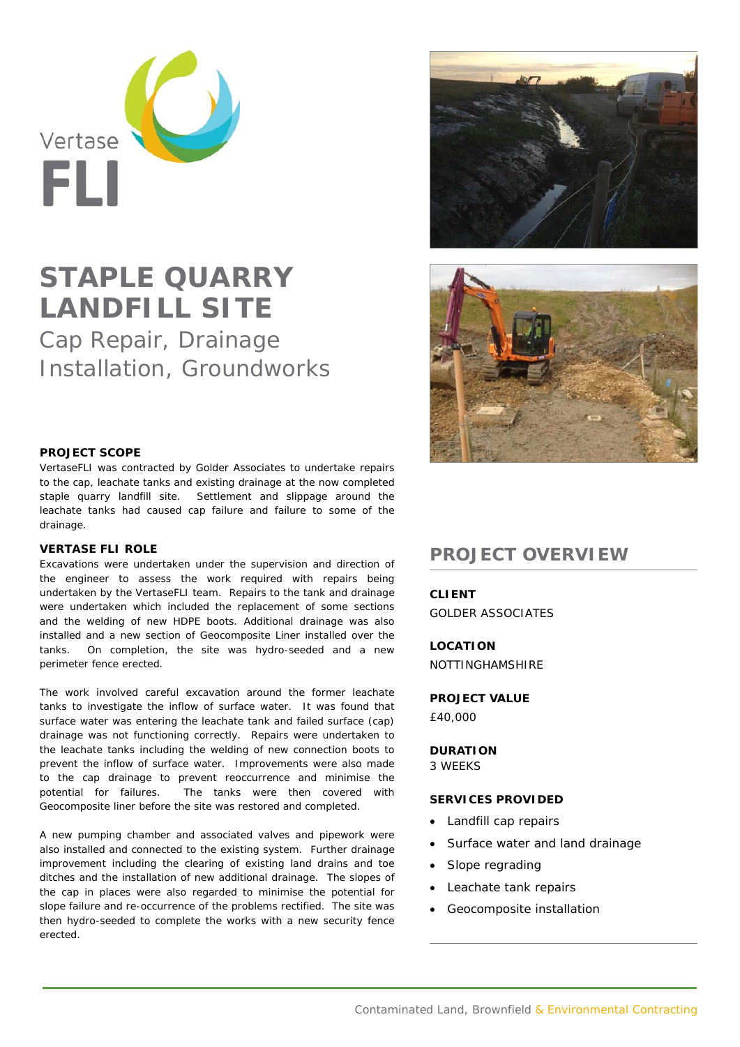

## **STAPLE QUARRY LANDFILL SITE**

Cap Repair, Drainage Installation, Groundworks



VertaseFLI was contracted by Golder Associates to undertake repairs to the cap, leachate tanks and existing drainage at the now completed staple quarry landfill site. Settlement and slippage around the leachate tanks had caused cap failure and failure to some of the drainage.

## **VERTASE FLI ROLE**

Excavations were undertaken under the supervision and direction of the engineer to assess the work required with repairs being undertaken by the VertaseFLI team. Repairs to the tank and drainage were undertaken which included the replacement of some sections and the welding of new HDPE boots. Additional drainage was also installed and a new section of Geocomposite Liner installed over the tanks. On completion, the site was hydro-seeded and a new perimeter fence erected.

The work involved careful excavation around the former leachate tanks to investigate the inflow of surface water. It was found that surface water was entering the leachate tank and failed surface (cap) drainage was not functioning correctly. Repairs were undertaken to the leachate tanks including the welding of new connection boots to prevent the inflow of surface water. Improvements were also made to the cap drainage to prevent reoccurrence and minimise the potential for failures. The tanks were then covered with Geocomposite liner before the site was restored and completed.

A new pumping chamber and associated valves and pipework were also installed and connected to the existing system. Further drainage improvement including the clearing of existing land drains and toe ditches and the installation of new additional drainage. The slopes of the cap in places were also regarded to minimise the potential for slope failure and re-occurrence of the problems rectified. The site was then hydro-seeded to complete the works with a new security fence erected.





## **PROJECT OVERVIEW**

**CLIENT**  GOLDER ASSOCIATES

**LOCATION**  NOTTINGHAMSHIRE

**PROJECT VALUE** 

£40,000

**DURATION**  3 WEEKS

## **SERVICES PROVIDED**

- Landfill cap repairs
- Surface water and land drainage
- Slope regrading
- Leachate tank repairs
- Geocomposite installation